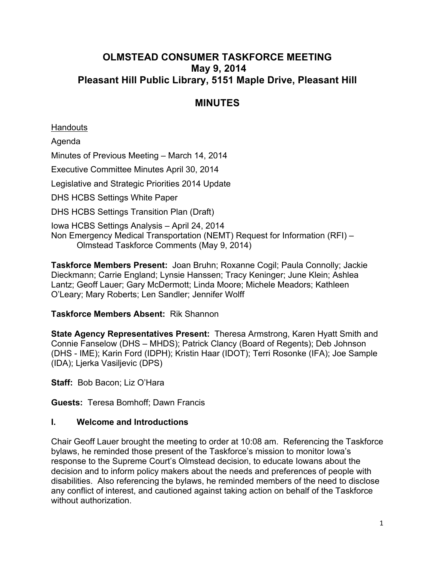# **OLMSTEAD CONSUMER TASKFORCE MEETING May 9, 2014 Pleasant Hill Public Library, 5151 Maple Drive, Pleasant Hill**

# **MINUTES**

**Handouts** 

Agenda Minutes of Previous Meeting – March 14, 2014 Executive Committee Minutes April 30, 2014 Legislative and Strategic Priorities 2014 Update DHS HCBS Settings White Paper DHS HCBS Settings Transition Plan (Draft) Iowa HCBS Settings Analysis – April 24, 2014 Non Emergency Medical Transportation (NEMT) Request for Information (RFI) – Olmstead Taskforce Comments (May 9, 2014)

**Taskforce Members Present:** Joan Bruhn; Roxanne Cogil; Paula Connolly; Jackie Dieckmann; Carrie England; Lynsie Hanssen; Tracy Keninger; June Klein; Ashlea Lantz; Geoff Lauer; Gary McDermott; Linda Moore; Michele Meadors; Kathleen O'Leary; Mary Roberts; Len Sandler; Jennifer Wolff

## **Taskforce Members Absent:** Rik Shannon

**State Agency Representatives Present:** Theresa Armstrong, Karen Hyatt Smith and Connie Fanselow (DHS – MHDS); Patrick Clancy (Board of Regents); Deb Johnson (DHS - IME); Karin Ford (IDPH); Kristin Haar (IDOT); Terri Rosonke (IFA); Joe Sample (IDA); Ljerka Vasiljevic (DPS)

**Staff:** Bob Bacon; Liz O'Hara

**Guests:** Teresa Bomhoff; Dawn Francis

## **I. Welcome and Introductions**

Chair Geoff Lauer brought the meeting to order at 10:08 am. Referencing the Taskforce bylaws, he reminded those present of the Taskforce's mission to monitor Iowa's response to the Supreme Court's Olmstead decision, to educate Iowans about the decision and to inform policy makers about the needs and preferences of people with disabilities. Also referencing the bylaws, he reminded members of the need to disclose any conflict of interest, and cautioned against taking action on behalf of the Taskforce without authorization.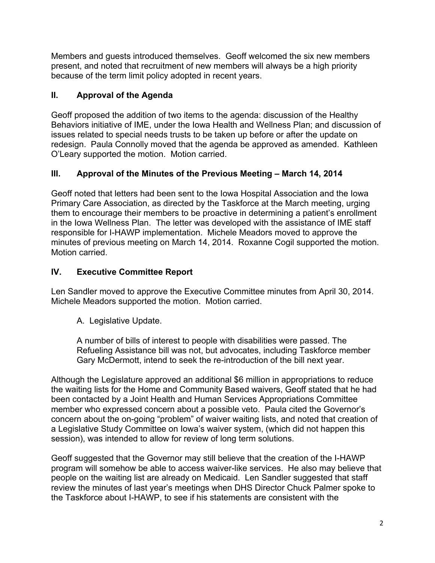Members and guests introduced themselves. Geoff welcomed the six new members present, and noted that recruitment of new members will always be a high priority because of the term limit policy adopted in recent years.

# **II. Approval of the Agenda**

Geoff proposed the addition of two items to the agenda: discussion of the Healthy Behaviors initiative of IME, under the Iowa Health and Wellness Plan; and discussion of issues related to special needs trusts to be taken up before or after the update on redesign. Paula Connolly moved that the agenda be approved as amended. Kathleen O'Leary supported the motion. Motion carried.

# **III. Approval of the Minutes of the Previous Meeting – March 14, 2014**

Geoff noted that letters had been sent to the Iowa Hospital Association and the Iowa Primary Care Association, as directed by the Taskforce at the March meeting, urging them to encourage their members to be proactive in determining a patient's enrollment in the Iowa Wellness Plan. The letter was developed with the assistance of IME staff responsible for I-HAWP implementation. Michele Meadors moved to approve the minutes of previous meeting on March 14, 2014. Roxanne Cogil supported the motion. Motion carried.

# **IV. Executive Committee Report**

Len Sandler moved to approve the Executive Committee minutes from April 30, 2014. Michele Meadors supported the motion. Motion carried.

A. Legislative Update.

A number of bills of interest to people with disabilities were passed. The Refueling Assistance bill was not, but advocates, including Taskforce member Gary McDermott, intend to seek the re-introduction of the bill next year.

Although the Legislature approved an additional \$6 million in appropriations to reduce the waiting lists for the Home and Community Based waivers, Geoff stated that he had been contacted by a Joint Health and Human Services Appropriations Committee member who expressed concern about a possible veto. Paula cited the Governor's concern about the on-going "problem" of waiver waiting lists, and noted that creation of a Legislative Study Committee on Iowa's waiver system, (which did not happen this session), was intended to allow for review of long term solutions.

Geoff suggested that the Governor may still believe that the creation of the I-HAWP program will somehow be able to access waiver-like services. He also may believe that people on the waiting list are already on Medicaid. Len Sandler suggested that staff review the minutes of last year's meetings when DHS Director Chuck Palmer spoke to the Taskforce about I-HAWP, to see if his statements are consistent with the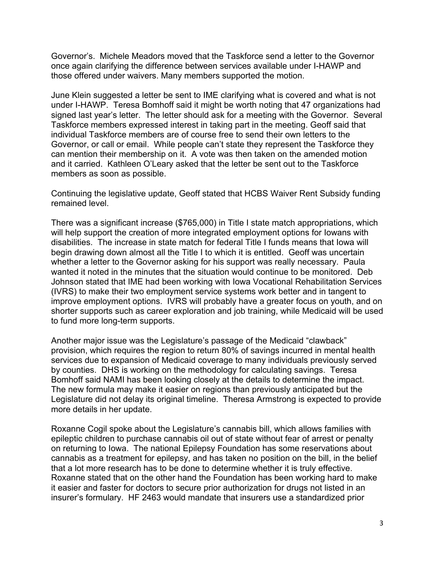Governor's. Michele Meadors moved that the Taskforce send a letter to the Governor once again clarifying the difference between services available under I-HAWP and those offered under waivers. Many members supported the motion.

June Klein suggested a letter be sent to IME clarifying what is covered and what is not under I-HAWP. Teresa Bomhoff said it might be worth noting that 47 organizations had signed last year's letter. The letter should ask for a meeting with the Governor. Several Taskforce members expressed interest in taking part in the meeting. Geoff said that individual Taskforce members are of course free to send their own letters to the Governor, or call or email. While people can't state they represent the Taskforce they can mention their membership on it. A vote was then taken on the amended motion and it carried. Kathleen O'Leary asked that the letter be sent out to the Taskforce members as soon as possible.

Continuing the legislative update, Geoff stated that HCBS Waiver Rent Subsidy funding remained level.

There was a significant increase (\$765,000) in Title I state match appropriations, which will help support the creation of more integrated employment options for Iowans with disabilities. The increase in state match for federal Title I funds means that Iowa will begin drawing down almost all the Title I to which it is entitled. Geoff was uncertain whether a letter to the Governor asking for his support was really necessary. Paula wanted it noted in the minutes that the situation would continue to be monitored. Deb Johnson stated that IME had been working with Iowa Vocational Rehabilitation Services (IVRS) to make their two employment service systems work better and in tangent to improve employment options. IVRS will probably have a greater focus on youth, and on shorter supports such as career exploration and job training, while Medicaid will be used to fund more long-term supports.

Another major issue was the Legislature's passage of the Medicaid "clawback" provision, which requires the region to return 80% of savings incurred in mental health services due to expansion of Medicaid coverage to many individuals previously served by counties. DHS is working on the methodology for calculating savings. Teresa Bomhoff said NAMI has been looking closely at the details to determine the impact. The new formula may make it easier on regions than previously anticipated but the Legislature did not delay its original timeline. Theresa Armstrong is expected to provide more details in her update.

Roxanne Cogil spoke about the Legislature's cannabis bill, which allows families with epileptic children to purchase cannabis oil out of state without fear of arrest or penalty on returning to Iowa. The national Epilepsy Foundation has some reservations about cannabis as a treatment for epilepsy, and has taken no position on the bill, in the belief that a lot more research has to be done to determine whether it is truly effective. Roxanne stated that on the other hand the Foundation has been working hard to make it easier and faster for doctors to secure prior authorization for drugs not listed in an insurer's formulary. HF 2463 would mandate that insurers use a standardized prior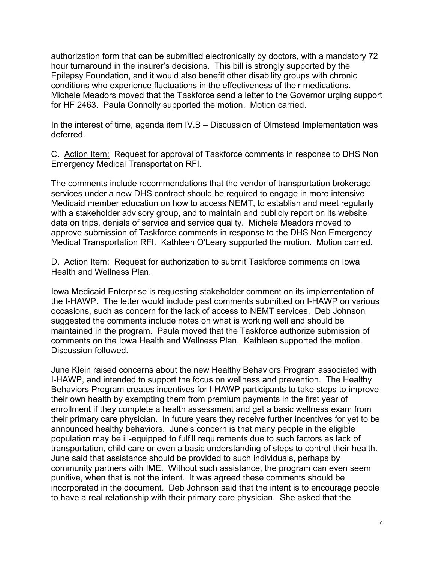authorization form that can be submitted electronically by doctors, with a mandatory 72 hour turnaround in the insurer's decisions. This bill is strongly supported by the Epilepsy Foundation, and it would also benefit other disability groups with chronic conditions who experience fluctuations in the effectiveness of their medications. Michele Meadors moved that the Taskforce send a letter to the Governor urging support for HF 2463. Paula Connolly supported the motion. Motion carried.

In the interest of time, agenda item IV.B – Discussion of Olmstead Implementation was deferred.

C. Action Item: Request for approval of Taskforce comments in response to DHS Non Emergency Medical Transportation RFI.

The comments include recommendations that the vendor of transportation brokerage services under a new DHS contract should be required to engage in more intensive Medicaid member education on how to access NEMT, to establish and meet regularly with a stakeholder advisory group, and to maintain and publicly report on its website data on trips, denials of service and service quality. Michele Meadors moved to approve submission of Taskforce comments in response to the DHS Non Emergency Medical Transportation RFI. Kathleen O'Leary supported the motion. Motion carried.

D. Action Item: Request for authorization to submit Taskforce comments on Iowa Health and Wellness Plan.

Iowa Medicaid Enterprise is requesting stakeholder comment on its implementation of the I-HAWP. The letter would include past comments submitted on I-HAWP on various occasions, such as concern for the lack of access to NEMT services. Deb Johnson suggested the comments include notes on what is working well and should be maintained in the program. Paula moved that the Taskforce authorize submission of comments on the Iowa Health and Wellness Plan. Kathleen supported the motion. Discussion followed.

June Klein raised concerns about the new Healthy Behaviors Program associated with I-HAWP, and intended to support the focus on wellness and prevention. The Healthy Behaviors Program creates incentives for I-HAWP participants to take steps to improve their own health by exempting them from premium payments in the first year of enrollment if they complete a health assessment and get a basic wellness exam from their primary care physician. In future years they receive further incentives for yet to be announced healthy behaviors. June's concern is that many people in the eligible population may be ill-equipped to fulfill requirements due to such factors as lack of transportation, child care or even a basic understanding of steps to control their health. June said that assistance should be provided to such individuals, perhaps by community partners with IME. Without such assistance, the program can even seem punitive, when that is not the intent. It was agreed these comments should be incorporated in the document. Deb Johnson said that the intent is to encourage people to have a real relationship with their primary care physician. She asked that the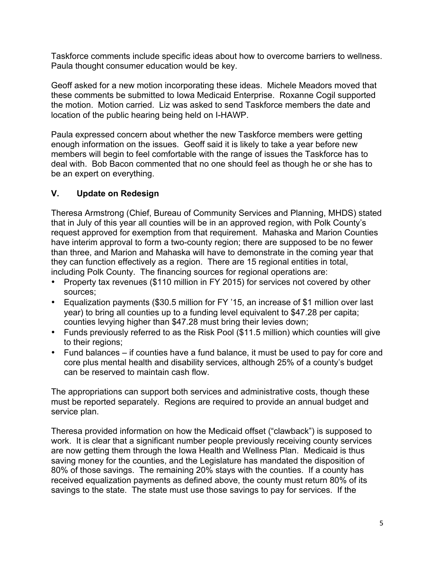Taskforce comments include specific ideas about how to overcome barriers to wellness. Paula thought consumer education would be key.

Geoff asked for a new motion incorporating these ideas. Michele Meadors moved that these comments be submitted to Iowa Medicaid Enterprise. Roxanne Cogil supported the motion. Motion carried. Liz was asked to send Taskforce members the date and location of the public hearing being held on I-HAWP.

Paula expressed concern about whether the new Taskforce members were getting enough information on the issues. Geoff said it is likely to take a year before new members will begin to feel comfortable with the range of issues the Taskforce has to deal with. Bob Bacon commented that no one should feel as though he or she has to be an expert on everything.

## **V. Update on Redesign**

Theresa Armstrong (Chief, Bureau of Community Services and Planning, MHDS) stated that in July of this year all counties will be in an approved region, with Polk County's request approved for exemption from that requirement. Mahaska and Marion Counties have interim approval to form a two-county region; there are supposed to be no fewer than three, and Marion and Mahaska will have to demonstrate in the coming year that they can function effectively as a region. There are 15 regional entities in total, including Polk County. The financing sources for regional operations are:

- Property tax revenues (\$110 million in FY 2015) for services not covered by other sources;
- Equalization payments (\$30.5 million for FY '15, an increase of \$1 million over last year) to bring all counties up to a funding level equivalent to \$47.28 per capita; counties levying higher than \$47.28 must bring their levies down;
- Funds previously referred to as the Risk Pool (\$11.5 million) which counties will give to their regions;
- Fund balances if counties have a fund balance, it must be used to pay for core and core plus mental health and disability services, although 25% of a county's budget can be reserved to maintain cash flow.

The appropriations can support both services and administrative costs, though these must be reported separately. Regions are required to provide an annual budget and service plan.

Theresa provided information on how the Medicaid offset ("clawback") is supposed to work. It is clear that a significant number people previously receiving county services are now getting them through the Iowa Health and Wellness Plan. Medicaid is thus saving money for the counties, and the Legislature has mandated the disposition of 80% of those savings. The remaining 20% stays with the counties. If a county has received equalization payments as defined above, the county must return 80% of its savings to the state. The state must use those savings to pay for services. If the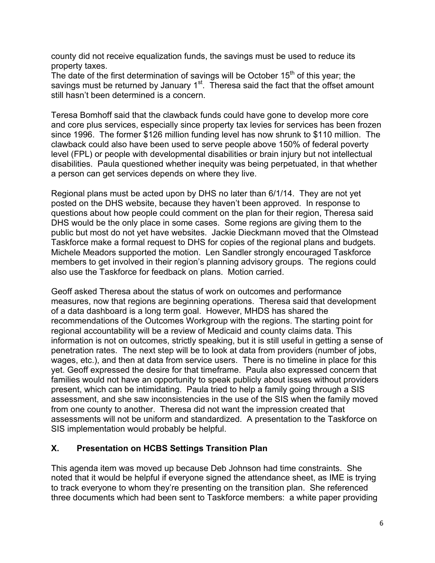county did not receive equalization funds, the savings must be used to reduce its property taxes.

The date of the first determination of savings will be October  $15<sup>th</sup>$  of this year; the savings must be returned by January  $1<sup>st</sup>$ . Theresa said the fact that the offset amount still hasn't been determined is a concern.

Teresa Bomhoff said that the clawback funds could have gone to develop more core and core plus services, especially since property tax levies for services has been frozen since 1996. The former \$126 million funding level has now shrunk to \$110 million. The clawback could also have been used to serve people above 150% of federal poverty level (FPL) or people with developmental disabilities or brain injury but not intellectual disabilities. Paula questioned whether inequity was being perpetuated, in that whether a person can get services depends on where they live.

Regional plans must be acted upon by DHS no later than 6/1/14. They are not yet posted on the DHS website, because they haven't been approved. In response to questions about how people could comment on the plan for their region, Theresa said DHS would be the only place in some cases. Some regions are giving them to the public but most do not yet have websites. Jackie Dieckmann moved that the Olmstead Taskforce make a formal request to DHS for copies of the regional plans and budgets. Michele Meadors supported the motion. Len Sandler strongly encouraged Taskforce members to get involved in their region's planning advisory groups. The regions could also use the Taskforce for feedback on plans. Motion carried.

Geoff asked Theresa about the status of work on outcomes and performance measures, now that regions are beginning operations. Theresa said that development of a data dashboard is a long term goal. However, MHDS has shared the recommendations of the Outcomes Workgroup with the regions. The starting point for regional accountability will be a review of Medicaid and county claims data. This information is not on outcomes, strictly speaking, but it is still useful in getting a sense of penetration rates. The next step will be to look at data from providers (number of jobs, wages, etc.), and then at data from service users. There is no timeline in place for this yet. Geoff expressed the desire for that timeframe. Paula also expressed concern that families would not have an opportunity to speak publicly about issues without providers present, which can be intimidating. Paula tried to help a family going through a SIS assessment, and she saw inconsistencies in the use of the SIS when the family moved from one county to another. Theresa did not want the impression created that assessments will not be uniform and standardized. A presentation to the Taskforce on SIS implementation would probably be helpful.

## **X. Presentation on HCBS Settings Transition Plan**

This agenda item was moved up because Deb Johnson had time constraints. She noted that it would be helpful if everyone signed the attendance sheet, as IME is trying to track everyone to whom they're presenting on the transition plan. She referenced three documents which had been sent to Taskforce members: a white paper providing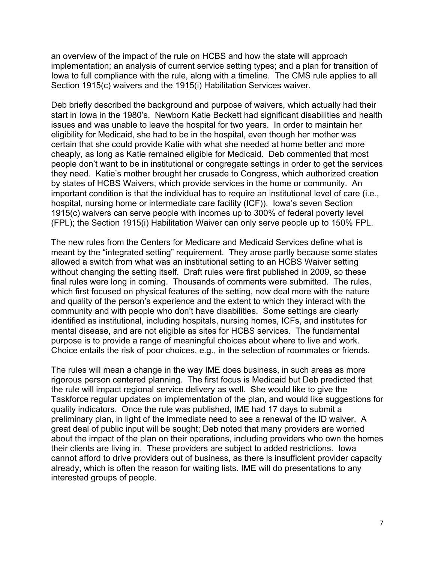an overview of the impact of the rule on HCBS and how the state will approach implementation; an analysis of current service setting types; and a plan for transition of Iowa to full compliance with the rule, along with a timeline. The CMS rule applies to all Section 1915(c) waivers and the 1915(i) Habilitation Services waiver.

Deb briefly described the background and purpose of waivers, which actually had their start in Iowa in the 1980's. Newborn Katie Beckett had significant disabilities and health issues and was unable to leave the hospital for two years. In order to maintain her eligibility for Medicaid, she had to be in the hospital, even though her mother was certain that she could provide Katie with what she needed at home better and more cheaply, as long as Katie remained eligible for Medicaid. Deb commented that most people don't want to be in institutional or congregate settings in order to get the services they need. Katie's mother brought her crusade to Congress, which authorized creation by states of HCBS Waivers, which provide services in the home or community. An important condition is that the individual has to require an institutional level of care (i.e., hospital, nursing home or intermediate care facility (ICF)). Iowa's seven Section 1915(c) waivers can serve people with incomes up to 300% of federal poverty level (FPL); the Section 1915(i) Habilitation Waiver can only serve people up to 150% FPL.

The new rules from the Centers for Medicare and Medicaid Services define what is meant by the "integrated setting" requirement. They arose partly because some states allowed a switch from what was an institutional setting to an HCBS Waiver setting without changing the setting itself. Draft rules were first published in 2009, so these final rules were long in coming. Thousands of comments were submitted. The rules, which first focused on physical features of the setting, now deal more with the nature and quality of the person's experience and the extent to which they interact with the community and with people who don't have disabilities. Some settings are clearly identified as institutional, including hospitals, nursing homes, ICFs, and institutes for mental disease, and are not eligible as sites for HCBS services. The fundamental purpose is to provide a range of meaningful choices about where to live and work. Choice entails the risk of poor choices, e.g., in the selection of roommates or friends.

The rules will mean a change in the way IME does business, in such areas as more rigorous person centered planning. The first focus is Medicaid but Deb predicted that the rule will impact regional service delivery as well. She would like to give the Taskforce regular updates on implementation of the plan, and would like suggestions for quality indicators. Once the rule was published, IME had 17 days to submit a preliminary plan, in light of the immediate need to see a renewal of the ID waiver. A great deal of public input will be sought; Deb noted that many providers are worried about the impact of the plan on their operations, including providers who own the homes their clients are living in. These providers are subject to added restrictions. Iowa cannot afford to drive providers out of business, as there is insufficient provider capacity already, which is often the reason for waiting lists. IME will do presentations to any interested groups of people.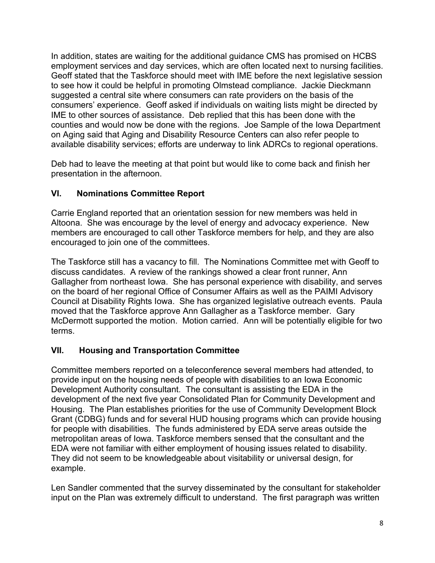In addition, states are waiting for the additional guidance CMS has promised on HCBS employment services and day services, which are often located next to nursing facilities. Geoff stated that the Taskforce should meet with IME before the next legislative session to see how it could be helpful in promoting Olmstead compliance. Jackie Dieckmann suggested a central site where consumers can rate providers on the basis of the consumers' experience. Geoff asked if individuals on waiting lists might be directed by IME to other sources of assistance. Deb replied that this has been done with the counties and would now be done with the regions. Joe Sample of the Iowa Department on Aging said that Aging and Disability Resource Centers can also refer people to available disability services; efforts are underway to link ADRCs to regional operations.

Deb had to leave the meeting at that point but would like to come back and finish her presentation in the afternoon.

## **VI. Nominations Committee Report**

Carrie England reported that an orientation session for new members was held in Altoona. She was encourage by the level of energy and advocacy experience. New members are encouraged to call other Taskforce members for help, and they are also encouraged to join one of the committees.

The Taskforce still has a vacancy to fill. The Nominations Committee met with Geoff to discuss candidates. A review of the rankings showed a clear front runner, Ann Gallagher from northeast Iowa. She has personal experience with disability, and serves on the board of her regional Office of Consumer Affairs as well as the PAIMI Advisory Council at Disability Rights Iowa. She has organized legislative outreach events. Paula moved that the Taskforce approve Ann Gallagher as a Taskforce member. Gary McDermott supported the motion. Motion carried. Ann will be potentially eligible for two terms.

## **VII. Housing and Transportation Committee**

Committee members reported on a teleconference several members had attended, to provide input on the housing needs of people with disabilities to an Iowa Economic Development Authority consultant. The consultant is assisting the EDA in the development of the next five year Consolidated Plan for Community Development and Housing. The Plan establishes priorities for the use of Community Development Block Grant (CDBG) funds and for several HUD housing programs which can provide housing for people with disabilities. The funds administered by EDA serve areas outside the metropolitan areas of Iowa. Taskforce members sensed that the consultant and the EDA were not familiar with either employment of housing issues related to disability. They did not seem to be knowledgeable about visitability or universal design, for example.

Len Sandler commented that the survey disseminated by the consultant for stakeholder input on the Plan was extremely difficult to understand. The first paragraph was written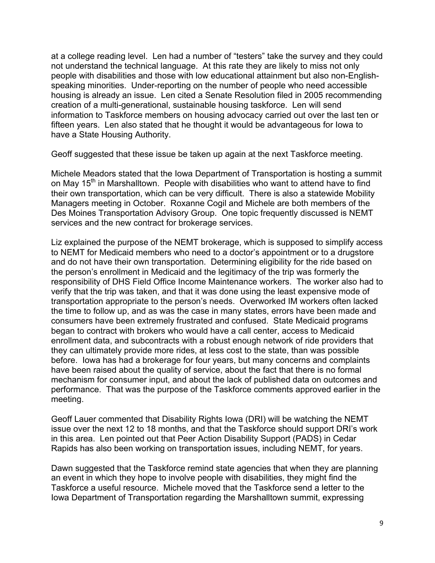at a college reading level. Len had a number of "testers" take the survey and they could not understand the technical language. At this rate they are likely to miss not only people with disabilities and those with low educational attainment but also non-Englishspeaking minorities. Under-reporting on the number of people who need accessible housing is already an issue. Len cited a Senate Resolution filed in 2005 recommending creation of a multi-generational, sustainable housing taskforce. Len will send information to Taskforce members on housing advocacy carried out over the last ten or fifteen years. Len also stated that he thought it would be advantageous for Iowa to have a State Housing Authority.

Geoff suggested that these issue be taken up again at the next Taskforce meeting.

Michele Meadors stated that the Iowa Department of Transportation is hosting a summit on May  $15<sup>th</sup>$  in Marshalltown. People with disabilities who want to attend have to find their own transportation, which can be very difficult. There is also a statewide Mobility Managers meeting in October. Roxanne Cogil and Michele are both members of the Des Moines Transportation Advisory Group. One topic frequently discussed is NEMT services and the new contract for brokerage services.

Liz explained the purpose of the NEMT brokerage, which is supposed to simplify access to NEMT for Medicaid members who need to a doctor's appointment or to a drugstore and do not have their own transportation. Determining eligibility for the ride based on the person's enrollment in Medicaid and the legitimacy of the trip was formerly the responsibility of DHS Field Office Income Maintenance workers. The worker also had to verify that the trip was taken, and that it was done using the least expensive mode of transportation appropriate to the person's needs. Overworked IM workers often lacked the time to follow up, and as was the case in many states, errors have been made and consumers have been extremely frustrated and confused. State Medicaid programs began to contract with brokers who would have a call center, access to Medicaid enrollment data, and subcontracts with a robust enough network of ride providers that they can ultimately provide more rides, at less cost to the state, than was possible before. Iowa has had a brokerage for four years, but many concerns and complaints have been raised about the quality of service, about the fact that there is no formal mechanism for consumer input, and about the lack of published data on outcomes and performance. That was the purpose of the Taskforce comments approved earlier in the meeting.

Geoff Lauer commented that Disability Rights Iowa (DRI) will be watching the NEMT issue over the next 12 to 18 months, and that the Taskforce should support DRI's work in this area. Len pointed out that Peer Action Disability Support (PADS) in Cedar Rapids has also been working on transportation issues, including NEMT, for years.

Dawn suggested that the Taskforce remind state agencies that when they are planning an event in which they hope to involve people with disabilities, they might find the Taskforce a useful resource. Michele moved that the Taskforce send a letter to the Iowa Department of Transportation regarding the Marshalltown summit, expressing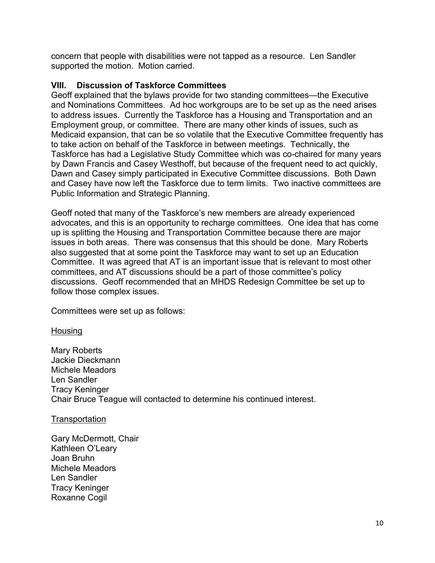concern that people with disabilities were not tapped as a resource. Len Sandler supported the motion. Motion carried.

#### **VIII. Discussion of Taskforce Committees**

Geoff explained that the bylaws provide for two standing committees—the Executive and Nominations Committees. Ad hoc workgroups are to be set up as the need arises to address issues. Currently the Taskforce has a Housing and Transportation and an Employment group, or committee. There are many other kinds of issues, such as Medicaid expansion, that can be so volatile that the Executive Committee frequently has to take action on behalf of the Taskforce in between meetings. Technically, the Taskforce has had a Legislative Study Committee which was co-chaired for many years by Dawn Francis and Casey Westhoff, but because of the frequent need to act quickly, Dawn and Casey simply participated in Executive Committee discussions. Both Dawn and Casey have now left the Taskforce due to term limits. Two inactive committees are Public Information and Strategic Planning.

Geoff noted that many of the Taskforce's new members are already experienced advocates, and this is an opportunity to recharge committees. One idea that has come up is splitting the Housing and Transportation Committee because there are major issues in both areas. There was consensus that this should be done. Mary Roberts also suggested that at some point the Taskforce may want to set up an Education Committee. It was agreed that AT is an important issue that is relevant to most other committees, and AT discussions should be a part of those committee's policy discussions. Geoff recommended that an MHDS Redesign Committee be set up to follow those complex issues.

Committees were set up as follows:

#### Housing

Mary Roberts Jackie Dieckmann Michele Meadors Len Sandler Tracy Keninger Chair Bruce Teague will contacted to determine his continued interest.

#### **Transportation**

Gary McDermott, Chair Kathleen O'Leary Joan Bruhn Michele Meadors Len Sandler Tracy Keninger Roxanne Cogil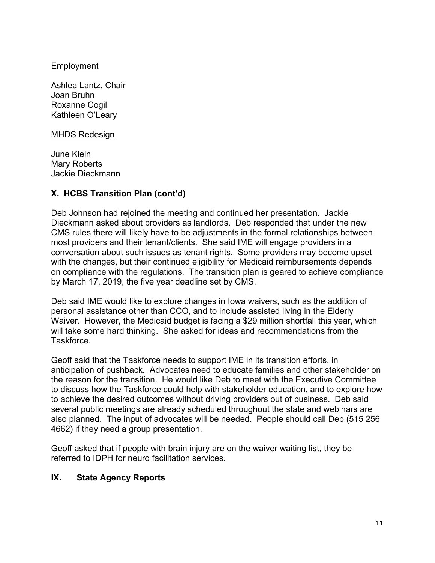#### Employment

Ashlea Lantz, Chair Joan Bruhn Roxanne Cogil Kathleen O'Leary

#### MHDS Redesign

June Klein Mary Roberts Jackie Dieckmann

## **X. HCBS Transition Plan (cont'd)**

Deb Johnson had rejoined the meeting and continued her presentation. Jackie Dieckmann asked about providers as landlords. Deb responded that under the new CMS rules there will likely have to be adjustments in the formal relationships between most providers and their tenant/clients. She said IME will engage providers in a conversation about such issues as tenant rights. Some providers may become upset with the changes, but their continued eligibility for Medicaid reimbursements depends on compliance with the regulations. The transition plan is geared to achieve compliance by March 17, 2019, the five year deadline set by CMS.

Deb said IME would like to explore changes in Iowa waivers, such as the addition of personal assistance other than CCO, and to include assisted living in the Elderly Waiver. However, the Medicaid budget is facing a \$29 million shortfall this year, which will take some hard thinking. She asked for ideas and recommendations from the Taskforce.

Geoff said that the Taskforce needs to support IME in its transition efforts, in anticipation of pushback. Advocates need to educate families and other stakeholder on the reason for the transition. He would like Deb to meet with the Executive Committee to discuss how the Taskforce could help with stakeholder education, and to explore how to achieve the desired outcomes without driving providers out of business. Deb said several public meetings are already scheduled throughout the state and webinars are also planned. The input of advocates will be needed. People should call Deb (515 256 4662) if they need a group presentation.

Geoff asked that if people with brain injury are on the waiver waiting list, they be referred to IDPH for neuro facilitation services.

## **IX. State Agency Reports**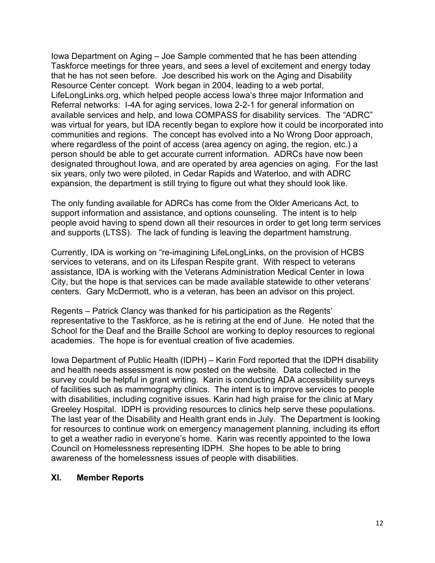Iowa Department on Aging – Joe Sample commented that he has been attending Taskforce meetings for three years, and sees a level of excitement and energy today that he has not seen before. Joe described his work on the Aging and Disability Resource Center concept. Work began in 2004, leading to a web portal, LifeLongLinks.org, which helped people access Iowa's three major Information and Referral networks: I-4A for aging services, Iowa 2-2-1 for general information on available services and help, and Iowa COMPASS for disability services. The "ADRC" was virtual for years, but IDA recently began to explore how it could be incorporated into communities and regions. The concept has evolved into a No Wrong Door approach, where regardless of the point of access (area agency on aging, the region, etc.) a person should be able to get accurate current information. ADRCs have now been designated throughout Iowa, and are operated by area agencies on aging. For the last six years, only two were piloted, in Cedar Rapids and Waterloo, and with ADRC expansion, the department is still trying to figure out what they should look like.

The only funding available for ADRCs has come from the Older Americans Act, to support information and assistance, and options counseling. The intent is to help people avoid having to spend down all their resources in order to get long term services and supports (LTSS). The lack of funding is leaving the department hamstrung.

Currently, IDA is working on "re-imagining LifeLongLinks, on the provision of HCBS services to veterans, and on its Lifespan Respite grant. With respect to veterans assistance, IDA is working with the Veterans Administration Medical Center in Iowa City, but the hope is that services can be made available statewide to other veterans' centers. Gary McDermott, who is a veteran, has been an advisor on this project.

Regents – Patrick Clancy was thanked for his participation as the Regents' representative to the Taskforce, as he is retiring at the end of June. He noted that the School for the Deaf and the Braille School are working to deploy resources to regional academies. The hope is for eventual creation of five academies.

Iowa Department of Public Health (IDPH) – Karin Ford reported that the IDPH disability and health needs assessment is now posted on the website. Data collected in the survey could be helpful in grant writing. Karin is conducting ADA accessibility surveys of facilities such as mammography clinics. The intent is to improve services to people with disabilities, including cognitive issues. Karin had high praise for the clinic at Mary Greeley Hospital. IDPH is providing resources to clinics help serve these populations. The last year of the Disability and Health grant ends in July. The Department is looking for resources to continue work on emergency management planning, including its effort to get a weather radio in everyone's home. Karin was recently appointed to the Iowa Council on Homelessness representing IDPH. She hopes to be able to bring awareness of the homelessness issues of people with disabilities.

## **XI. Member Reports**